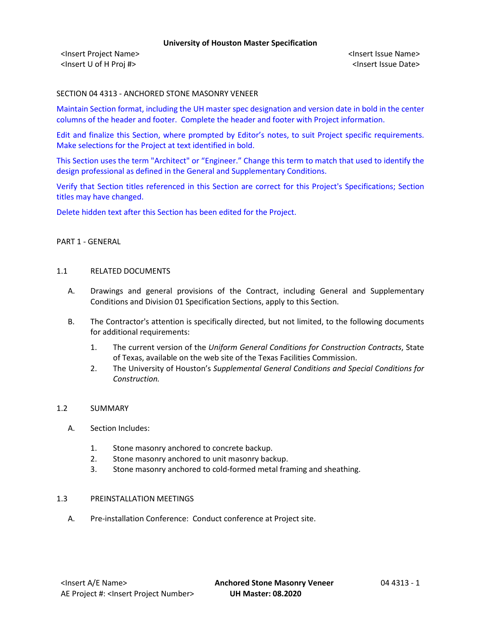<Insert Project Name> <Insert Issue Name> <Insert U of H Proj #> <Insert Issue Date>

### SECTION 04 4313 - ANCHORED STONE MASONRY VENEER

Maintain Section format, including the UH master spec designation and version date in bold in the center columns of the header and footer. Complete the header and footer with Project information.

Edit and finalize this Section, where prompted by Editor's notes, to suit Project specific requirements. Make selections for the Project at text identified in bold.

This Section uses the term "Architect" or "Engineer." Change this term to match that used to identify the design professional as defined in the General and Supplementary Conditions.

Verify that Section titles referenced in this Section are correct for this Project's Specifications; Section titles may have changed.

Delete hidden text after this Section has been edited for the Project.

# PART 1 - GENERAL

### 1.1 RELATED DOCUMENTS

- A. Drawings and general provisions of the Contract, including General and Supplementary Conditions and Division 01 Specification Sections, apply to this Section.
- B. The Contractor's attention is specifically directed, but not limited, to the following documents for additional requirements:
	- 1. The current version of the *Uniform General Conditions for Construction Contracts*, State of Texas, available on the web site of the Texas Facilities Commission.
	- 2. The University of Houston's *Supplemental General Conditions and Special Conditions for Construction.*

### 1.2 SUMMARY

- A. Section Includes:
	- 1. Stone masonry anchored to concrete backup.
	- 2. Stone masonry anchored to unit masonry backup.
	- 3. Stone masonry anchored to cold-formed metal framing and sheathing.

# 1.3 PREINSTALLATION MEETINGS

A. Pre-installation Conference: Conduct conference at Project site.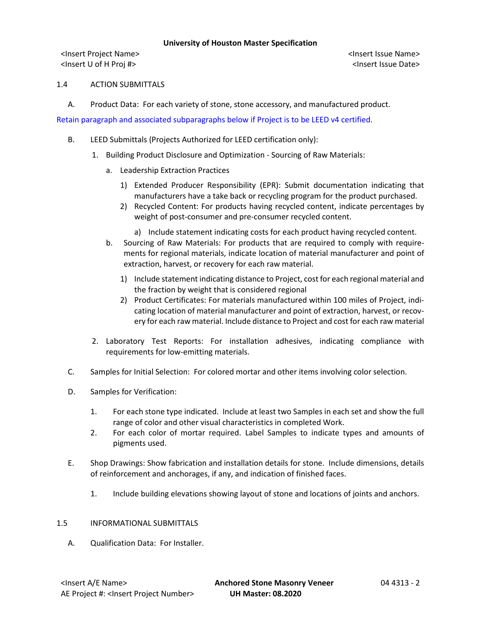<Insert Project Name> <Insert Issue Name> <Insert U of H Proj #> <Insert Issue Date>

# 1.4 ACTION SUBMITTALS

A. Product Data: For each variety of stone, stone accessory, and manufactured product.

Retain paragraph and associated subparagraphs below if Project is to be LEED v4 certified.

- B. LEED Submittals (Projects Authorized for LEED certification only):
	- 1. Building Product Disclosure and Optimization Sourcing of Raw Materials:
		- a. Leadership Extraction Practices
			- 1) Extended Producer Responsibility (EPR): Submit documentation indicating that manufacturers have a take back or recycling program for the product purchased.
			- 2) Recycled Content: For products having recycled content, indicate percentages by weight of post-consumer and pre-consumer recycled content.

a) Include statement indicating costs for each product having recycled content.

- b. Sourcing of Raw Materials: For products that are required to comply with requirements for regional materials, indicate location of material manufacturer and point of extraction, harvest, or recovery for each raw material.
	- 1) Include statement indicating distance to Project, cost for each regional material and the fraction by weight that is considered regional
	- 2) Product Certificates: For materials manufactured within 100 miles of Project, indicating location of material manufacturer and point of extraction, harvest, or recovery for each raw material. Include distance to Project and cost for each raw material
- 2. Laboratory Test Reports: For installation adhesives, indicating compliance with requirements for low-emitting materials.
- C. Samples for Initial Selection: For colored mortar and other items involving color selection.
- D. Samples for Verification:
	- 1. For each stone type indicated. Include at least two Samples in each set and show the full range of color and other visual characteristics in completed Work.
	- 2. For each color of mortar required. Label Samples to indicate types and amounts of pigments used.
- E. Shop Drawings: Show fabrication and installation details for stone. Include dimensions, details of reinforcement and anchorages, if any, and indication of finished faces.
	- 1. Include building elevations showing layout of stone and locations of joints and anchors.

### 1.5 INFORMATIONAL SUBMITTALS

A. Qualification Data: For Installer.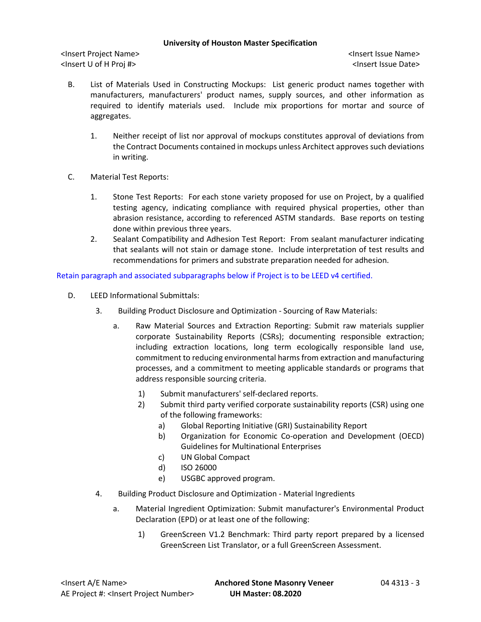<Insert Project Name> <Insert Issue Name> <Insert U of H Proj #> <Insert Issue Date>

- B. List of Materials Used in Constructing Mockups: List generic product names together with manufacturers, manufacturers' product names, supply sources, and other information as required to identify materials used. Include mix proportions for mortar and source of aggregates.
	- 1. Neither receipt of list nor approval of mockups constitutes approval of deviations from the Contract Documents contained in mockups unless Architect approves such deviations in writing.
- C. Material Test Reports:
	- 1. Stone Test Reports: For each stone variety proposed for use on Project, by a qualified testing agency, indicating compliance with required physical properties, other than abrasion resistance, according to referenced ASTM standards. Base reports on testing done within previous three years.
	- 2. Sealant Compatibility and Adhesion Test Report: From sealant manufacturer indicating that sealants will not stain or damage stone. Include interpretation of test results and recommendations for primers and substrate preparation needed for adhesion.

Retain paragraph and associated subparagraphs below if Project is to be LEED v4 certified.

- D. LEED Informational Submittals:
	- 3. Building Product Disclosure and Optimization Sourcing of Raw Materials:
		- a. Raw Material Sources and Extraction Reporting: Submit raw materials supplier corporate Sustainability Reports (CSRs); documenting responsible extraction; including extraction locations, long term ecologically responsible land use, commitment to reducing environmental harms from extraction and manufacturing processes, and a commitment to meeting applicable standards or programs that address responsible sourcing criteria.
			- 1) Submit manufacturers' self-declared reports.
			- 2) Submit third party verified corporate sustainability reports (CSR) using one of the following frameworks:
				- a) Global Reporting Initiative (GRI) Sustainability Report
				- b) Organization for Economic Co-operation and Development (OECD) Guidelines for Multinational Enterprises
				- c) UN Global Compact
				- d) ISO 26000
				- e) USGBC approved program.
	- 4. Building Product Disclosure and Optimization Material Ingredients
		- a. Material Ingredient Optimization: Submit manufacturer's Environmental Product Declaration (EPD) or at least one of the following:
			- 1) GreenScreen V1.2 Benchmark: Third party report prepared by a licensed GreenScreen List Translator, or a full GreenScreen Assessment.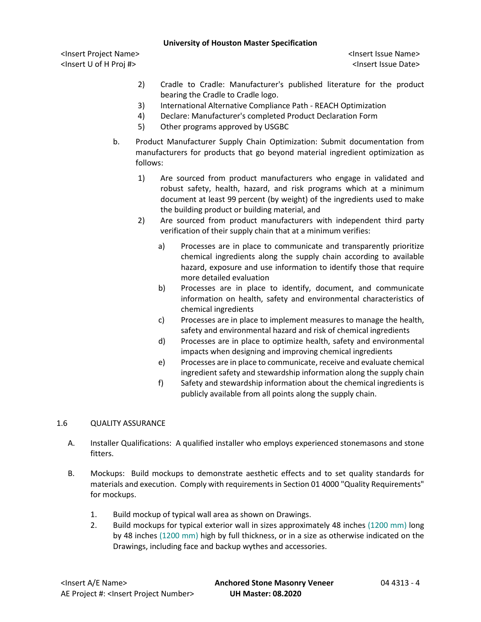<Insert Project Name> <Insert Issue Name> <Insert U of H Proj #> <Insert Issue Date>

- 2) Cradle to Cradle: Manufacturer's published literature for the product bearing the Cradle to Cradle logo.
- 3) International Alternative Compliance Path REACH Optimization
- 4) Declare: Manufacturer's completed Product Declaration Form
- 5) Other programs approved by USGBC
- b. Product Manufacturer Supply Chain Optimization: Submit documentation from manufacturers for products that go beyond material ingredient optimization as follows:
	- 1) Are sourced from product manufacturers who engage in validated and robust safety, health, hazard, and risk programs which at a minimum document at least 99 percent (by weight) of the ingredients used to make the building product or building material, and
	- 2) Are sourced from product manufacturers with independent third party verification of their supply chain that at a minimum verifies:
		- a) Processes are in place to communicate and transparently prioritize chemical ingredients along the supply chain according to available hazard, exposure and use information to identify those that require more detailed evaluation
		- b) Processes are in place to identify, document, and communicate information on health, safety and environmental characteristics of chemical ingredients
		- c) Processes are in place to implement measures to manage the health, safety and environmental hazard and risk of chemical ingredients
		- d) Processes are in place to optimize health, safety and environmental impacts when designing and improving chemical ingredients
		- e) Processes are in place to communicate, receive and evaluate chemical ingredient safety and stewardship information along the supply chain
		- f) Safety and stewardship information about the chemical ingredients is publicly available from all points along the supply chain.

# 1.6 QUALITY ASSURANCE

- A. Installer Qualifications: A qualified installer who employs experienced stonemasons and stone fitters.
- B. Mockups: Build mockups to demonstrate aesthetic effects and to set quality standards for materials and execution. Comply with requirements in Section 01 4000 "Quality Requirements" for mockups.
	- 1. Build mockup of typical wall area as shown on Drawings.
	- 2. Build mockups for typical exterior wall in sizes approximately 48 inches (1200 mm) long by 48 inches (1200 mm) high by full thickness, or in a size as otherwise indicated on the Drawings, including face and backup wythes and accessories.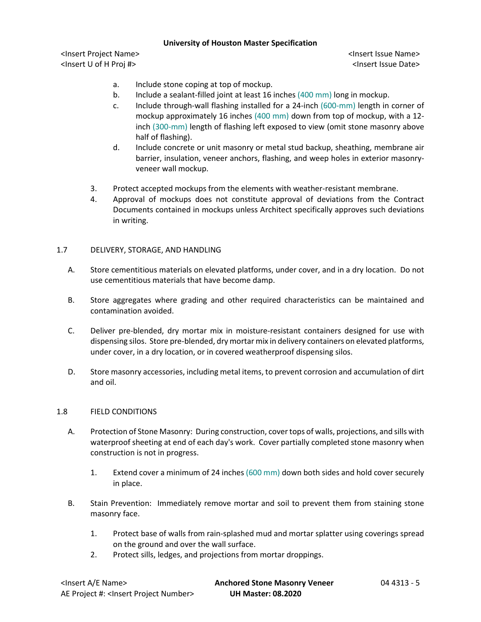<Insert Project Name> <Insert Issue Name> <Insert U of H Proj #> <Insert Issue Date>

- a. Include stone coping at top of mockup.
- b. Include a sealant-filled joint at least 16 inches (400 mm) long in mockup.
- c. Include through-wall flashing installed for a 24-inch (600-mm) length in corner of mockup approximately 16 inches (400 mm) down from top of mockup, with a 12 inch (300-mm) length of flashing left exposed to view (omit stone masonry above half of flashing).
- d. Include concrete or unit masonry or metal stud backup, sheathing, membrane air barrier, insulation, veneer anchors, flashing, and weep holes in exterior masonryveneer wall mockup.
- 3. Protect accepted mockups from the elements with weather-resistant membrane.
- 4. Approval of mockups does not constitute approval of deviations from the Contract Documents contained in mockups unless Architect specifically approves such deviations in writing.

# 1.7 DELIVERY, STORAGE, AND HANDLING

- A. Store cementitious materials on elevated platforms, under cover, and in a dry location. Do not use cementitious materials that have become damp.
- B. Store aggregates where grading and other required characteristics can be maintained and contamination avoided.
- C. Deliver pre-blended, dry mortar mix in moisture-resistant containers designed for use with dispensing silos. Store pre-blended, dry mortar mix in delivery containers on elevated platforms, under cover, in a dry location, or in covered weatherproof dispensing silos.
- D. Store masonry accessories, including metal items, to prevent corrosion and accumulation of dirt and oil.

### 1.8 FIELD CONDITIONS

- A. Protection of Stone Masonry: During construction, cover tops of walls, projections, and sills with waterproof sheeting at end of each day's work. Cover partially completed stone masonry when construction is not in progress.
	- 1. Extend cover a minimum of 24 inches (600 mm) down both sides and hold cover securely in place.
- B. Stain Prevention: Immediately remove mortar and soil to prevent them from staining stone masonry face.
	- 1. Protect base of walls from rain-splashed mud and mortar splatter using coverings spread on the ground and over the wall surface.
	- 2. Protect sills, ledges, and projections from mortar droppings.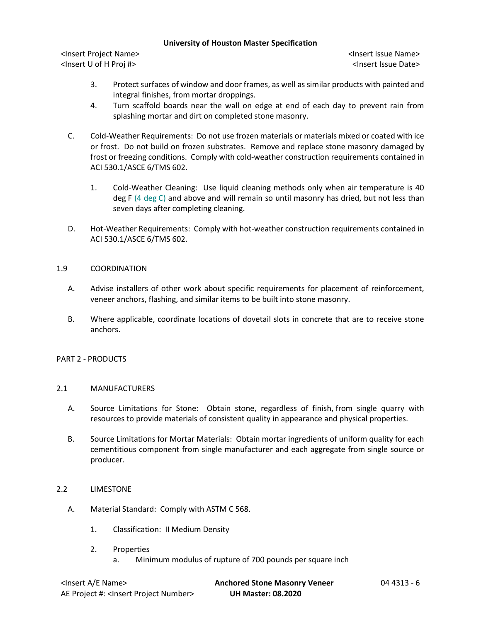<Insert Project Name> <Insert Issue Name> <Insert U of H Proj #> <Insert Issue Date>

- 3. Protect surfaces of window and door frames, as well as similar products with painted and integral finishes, from mortar droppings.
- 4. Turn scaffold boards near the wall on edge at end of each day to prevent rain from splashing mortar and dirt on completed stone masonry.
- C. Cold-Weather Requirements: Do not use frozen materials or materials mixed or coated with ice or frost. Do not build on frozen substrates. Remove and replace stone masonry damaged by frost or freezing conditions. Comply with cold-weather construction requirements contained in ACI 530.1/ASCE 6/TMS 602.
	- 1. Cold-Weather Cleaning: Use liquid cleaning methods only when air temperature is 40 deg F (4 deg C) and above and will remain so until masonry has dried, but not less than seven days after completing cleaning.
- D. Hot-Weather Requirements: Comply with hot-weather construction requirements contained in ACI 530.1/ASCE 6/TMS 602.

# 1.9 COORDINATION

- A. Advise installers of other work about specific requirements for placement of reinforcement, veneer anchors, flashing, and similar items to be built into stone masonry.
- B. Where applicable, coordinate locations of dovetail slots in concrete that are to receive stone anchors.

### PART 2 - PRODUCTS

### 2.1 MANUFACTURERS

- A. Source Limitations for Stone: Obtain stone, regardless of finish, from single quarry with resources to provide materials of consistent quality in appearance and physical properties.
- B. Source Limitations for Mortar Materials: Obtain mortar ingredients of uniform quality for each cementitious component from single manufacturer and each aggregate from single source or producer.
- 2.2 LIMESTONE
	- A. Material Standard: Comply with ASTM C 568.
		- 1. Classification: II Medium Density
		- 2. Properties
			- a. Minimum modulus of rupture of 700 pounds per square inch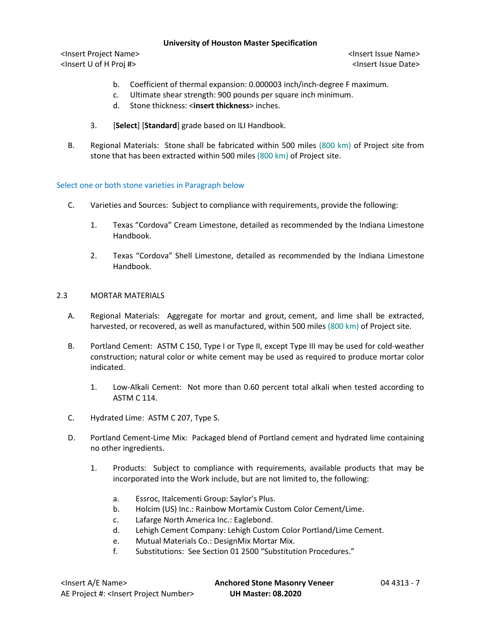<Insert Project Name> <Insert Issue Name> <Insert U of H Proj #> <Insert Issue Date>

- b. Coefficient of thermal expansion: 0.000003 inch/inch-degree F maximum.
- c. Ultimate shear strength: 900 pounds per square inch minimum.
- d. Stone thickness: <**insert thickness**> inches.
- 3. [**Select**] [**Standard**] grade based on ILI Handbook.
- B. Regional Materials: Stone shall be fabricated within 500 miles (800 km) of Project site from stone that has been extracted within 500 miles (800 km) of Project site.

# Select one or both stone varieties in Paragraph below

- C. Varieties and Sources: Subject to compliance with requirements, provide the following:
	- 1. Texas "Cordova" Cream Limestone, detailed as recommended by the Indiana Limestone Handbook.
	- 2. Texas "Cordova" Shell Limestone, detailed as recommended by the Indiana Limestone Handbook.

# 2.3 MORTAR MATERIALS

- A. Regional Materials: Aggregate for mortar and grout, cement, and lime shall be extracted, harvested, or recovered, as well as manufactured, within 500 miles (800 km) of Project site.
- B. Portland Cement: ASTM C 150, Type I or Type II, except Type III may be used for cold-weather construction; natural color or white cement may be used as required to produce mortar color indicated.
	- 1. Low-Alkali Cement: Not more than 0.60 percent total alkali when tested according to ASTM C 114.
- C. Hydrated Lime: ASTM C 207, Type S.
- D. Portland Cement-Lime Mix: Packaged blend of Portland cement and hydrated lime containing no other ingredients.
	- 1. [Products:](http://www.specagent.com/LookUp/?ulid=6286&mf=04&src=wd) Subject to compliance with requirements, available products that may be incorporated into the Work include, but are not limited to, the following:
		- a. [Essroc, Italcementi Group:](http://www.specagent.com/LookUp/?uid=123456830807&mf=04&src=wd) Saylor's Plus.
		- b. [Holcim \(US\) Inc.:](http://www.specagent.com/LookUp/?uid=123456835556&mf=04&src=wd) Rainbow Mortamix Custom Color Cement/Lime.
		- c. [Lafarge North America Inc.:](http://www.specagent.com/LookUp/?uid=123456835557&mf=04&src=wd) Eaglebond.
		- d. [Lehigh Cement Company:](http://www.specagent.com/LookUp/?uid=123456835558&mf=04&src=wd) Lehigh Custom Color Portland/Lime Cement.
		- e. [Mutual Materials Co.:](http://www.specagent.com/LookUp/?uid=123456835559&mf=04&src=wd) DesignMix Mortar Mix.
		- f. Substitutions: See Section 01 2500 "Substitution Procedures."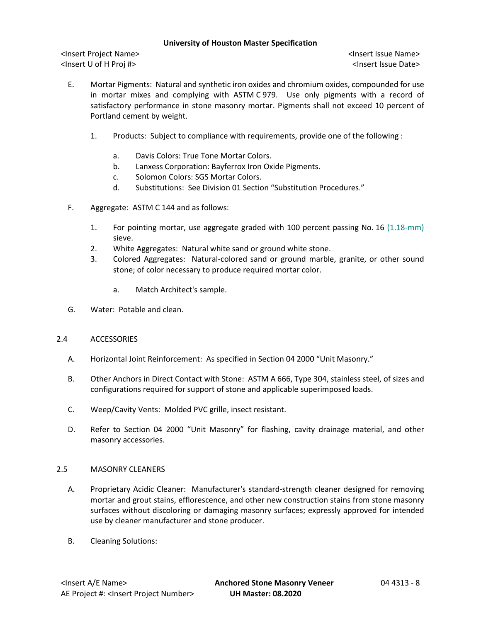<Insert Project Name> <Insert Issue Name> <Insert U of H Proj #> <Insert Issue Date>

- E. Mortar Pigments: Natural and synthetic iron oxides and chromium oxides, compounded for use in mortar mixes and complying with ASTM C 979. Use only pigments with a record of satisfactory performance in stone masonry mortar. Pigments shall not exceed 10 percent of Portland cement by weight.
	- 1. [Products:](http://www.specagent.com/LookUp/?ulid=6764&mf=04&src=wd) Subject to compliance with requirements, provide one of the following :
		- a. [Davis Colors:](http://www.specagent.com/LookUp/?uid=123456835570&mf=04&src=wd) True Tone Mortar Colors.
		- b. [Lanxess Corporation:](http://www.specagent.com/LookUp/?uid=123456835571&mf=04&src=wd) Bayferrox Iron Oxide Pigments.
		- c. [Solomon Colors:](http://www.specagent.com/LookUp/?uid=123456835573&mf=04&src=wd) SGS Mortar Colors.
		- d. Substitutions: See Division 01 Section "Substitution Procedures."
- F. Aggregate: ASTM C 144 and as follows:
	- 1. For pointing mortar, use aggregate graded with 100 percent passing No. 16 (1.18-mm) sieve.
	- 2. White Aggregates: Natural white sand or ground white stone.
	- 3. Colored Aggregates: Natural-colored sand or ground marble, granite, or other sound stone; of color necessary to produce required mortar color.
		- a. Match Architect's sample.
- G. Water: Potable and clean.

# 2.4 ACCESSORIES

- A. Horizontal Joint Reinforcement: As specified in Section 04 2000 "Unit Masonry."
- B. Other Anchors in Direct Contact with Stone: ASTM A 666, Type 304, stainless steel, of sizes and configurations required for support of stone and applicable superimposed loads.
- C. Weep/Cavity Vents: Molded PVC grille, insect resistant.
- D. Refer to Section 04 2000 "Unit Masonry" for flashing, cavity drainage material, and other masonry accessories.

# 2.5 MASONRY CLEANERS

- A. Proprietary Acidic Cleaner: Manufacturer's standard-strength cleaner designed for removing mortar and grout stains, efflorescence, and other new construction stains from stone masonry surfaces without discoloring or damaging masonry surfaces; expressly approved for intended use by cleaner manufacturer and stone producer.
- B. Cleaning Solutions: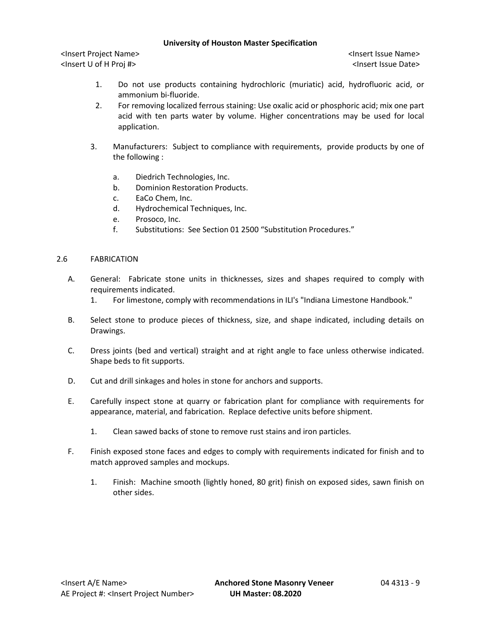<Insert Project Name> <Insert Issue Name> <Insert U of H Proj #> <Insert Issue Date>

- 1. Do not use products containing hydrochloric (muriatic) acid, hydrofluoric acid, or ammonium bi-fluoride.
- 2. For removing localized ferrous staining: Use oxalic acid or phosphoric acid; mix one part acid with ten parts water by volume. Higher concentrations may be used for local application.
- 3. [Manufacturers:](http://www.specagent.com/LookUp/?ulid=6791&mf=04&src=wd) Subject to compliance with requirements, provide products by one of the following :
	- a. [Diedrich Technologies, Inc.](http://www.specagent.com/LookUp/?uid=123456835713&mf=04&src=wd)
	- b. [Dominion Restoration Products.](http://www.specagent.com/LookUp/?uid=123456835714&mf=04&src=wd)
	- c. [EaCo Chem, Inc.](http://www.specagent.com/LookUp/?uid=123456835715&mf=04&src=wd)
	- d. [Hydrochemical Techniques, Inc.](http://www.specagent.com/LookUp/?uid=123456835716&mf=04&src=wd)
	- e. [Prosoco, Inc.](http://www.specagent.com/LookUp/?uid=123456835717&mf=04&src=wd)
	- f. Substitutions: See Section 01 2500 "Substitution Procedures."

# 2.6 FABRICATION

- A. General: Fabricate stone units in thicknesses, sizes and shapes required to comply with requirements indicated.
	- 1. For limestone, comply with recommendations in ILI's "Indiana Limestone Handbook."
- B. Select stone to produce pieces of thickness, size, and shape indicated, including details on Drawings.
- C. Dress joints (bed and vertical) straight and at right angle to face unless otherwise indicated. Shape beds to fit supports.
- D. Cut and drill sinkages and holes in stone for anchors and supports.
- E. Carefully inspect stone at quarry or fabrication plant for compliance with requirements for appearance, material, and fabrication. Replace defective units before shipment.
	- 1. Clean sawed backs of stone to remove rust stains and iron particles.
- F. Finish exposed stone faces and edges to comply with requirements indicated for finish and to match approved samples and mockups.
	- 1. Finish: Machine smooth (lightly honed, 80 grit) finish on exposed sides, sawn finish on other sides.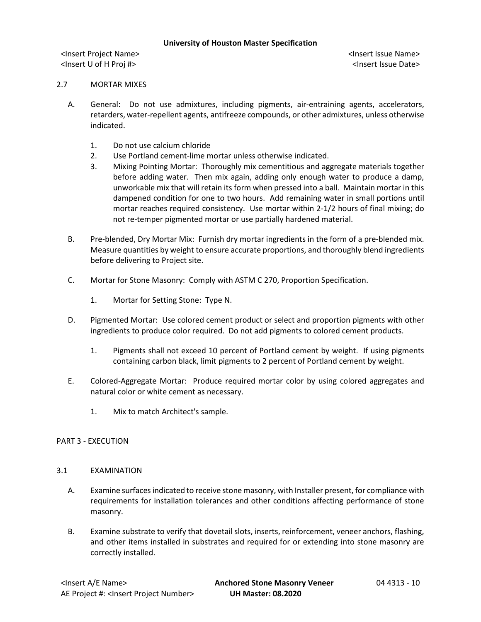<Insert Project Name> <Insert Issue Name> <Insert U of H Proj #> <Insert Issue Date>

### 2.7 MORTAR MIXES

- A. General: Do not use admixtures, including pigments, air-entraining agents, accelerators, retarders, water-repellent agents, antifreeze compounds, or other admixtures, unless otherwise indicated.
	- 1. Do not use calcium chloride
	- 2. Use Portland cement-lime mortar unless otherwise indicated.
	- 3. Mixing Pointing Mortar: Thoroughly mix cementitious and aggregate materials together before adding water. Then mix again, adding only enough water to produce a damp, unworkable mix that will retain its form when pressed into a ball. Maintain mortar in this dampened condition for one to two hours. Add remaining water in small portions until mortar reaches required consistency. Use mortar within 2-1/2 hours of final mixing; do not re-temper pigmented mortar or use partially hardened material.
- B. Pre-blended, Dry Mortar Mix: Furnish dry mortar ingredients in the form of a pre-blended mix. Measure quantities by weight to ensure accurate proportions, and thoroughly blend ingredients before delivering to Project site.
- C. Mortar for Stone Masonry: Comply with ASTM C 270, Proportion Specification.
	- 1. Mortar for Setting Stone: Type N.
- D. Pigmented Mortar: Use colored cement product or select and proportion pigments with other ingredients to produce color required. Do not add pigments to colored cement products.
	- 1. Pigments shall not exceed 10 percent of Portland cement by weight. If using pigments containing carbon black, limit pigments to 2 percent of Portland cement by weight.
- E. Colored-Aggregate Mortar: Produce required mortar color by using colored aggregates and natural color or white cement as necessary.
	- 1. Mix to match Architect's sample.

### PART 3 - EXECUTION

### 3.1 EXAMINATION

- A. Examine surfaces indicated to receive stone masonry, with Installer present, for compliance with requirements for installation tolerances and other conditions affecting performance of stone masonry.
- B. Examine substrate to verify that dovetail slots, inserts, reinforcement, veneer anchors, flashing, and other items installed in substrates and required for or extending into stone masonry are correctly installed.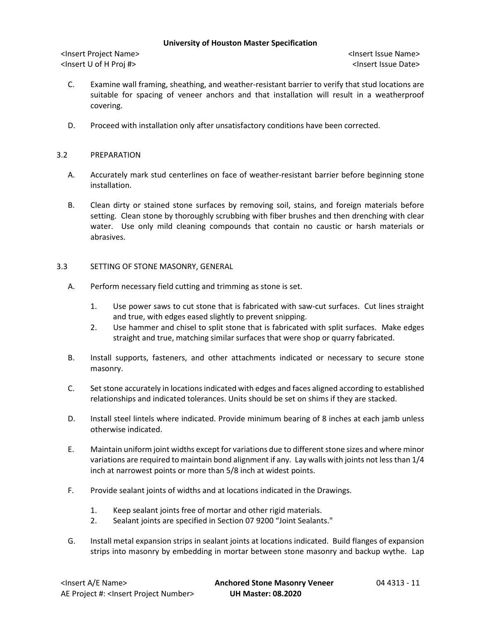<Insert Project Name> <Insert Issue Name> <Insert U of H Proj #> <Insert Issue Date>

- C. Examine wall framing, sheathing, and weather-resistant barrier to verify that stud locations are suitable for spacing of veneer anchors and that installation will result in a weatherproof covering.
- D. Proceed with installation only after unsatisfactory conditions have been corrected.

# 3.2 PREPARATION

- A. Accurately mark stud centerlines on face of weather-resistant barrier before beginning stone installation.
- B. Clean dirty or stained stone surfaces by removing soil, stains, and foreign materials before setting. Clean stone by thoroughly scrubbing with fiber brushes and then drenching with clear water. Use only mild cleaning compounds that contain no caustic or harsh materials or abrasives.
- 3.3 SETTING OF STONE MASONRY, GENERAL
	- A. Perform necessary field cutting and trimming as stone is set.
		- 1. Use power saws to cut stone that is fabricated with saw-cut surfaces. Cut lines straight and true, with edges eased slightly to prevent snipping.
		- 2. Use hammer and chisel to split stone that is fabricated with split surfaces. Make edges straight and true, matching similar surfaces that were shop or quarry fabricated.
	- B. Install supports, fasteners, and other attachments indicated or necessary to secure stone masonry.
	- C. Set stone accurately in locations indicated with edges and faces aligned according to established relationships and indicated tolerances. Units should be set on shims if they are stacked.
	- D. Install steel lintels where indicated. Provide minimum bearing of 8 inches at each jamb unless otherwise indicated.
	- E. Maintain uniform joint widths except for variations due to different stone sizes and where minor variations are required to maintain bond alignment if any. Lay walls with joints not less than 1/4 inch at narrowest points or more than 5/8 inch at widest points.
	- F. Provide sealant joints of widths and at locations indicated in the Drawings.
		- 1. Keep sealant joints free of mortar and other rigid materials.
		- 2. Sealant joints are specified in Section 07 9200 "Joint Sealants."
	- G. Install metal expansion strips in sealant joints at locations indicated. Build flanges of expansion strips into masonry by embedding in mortar between stone masonry and backup wythe. Lap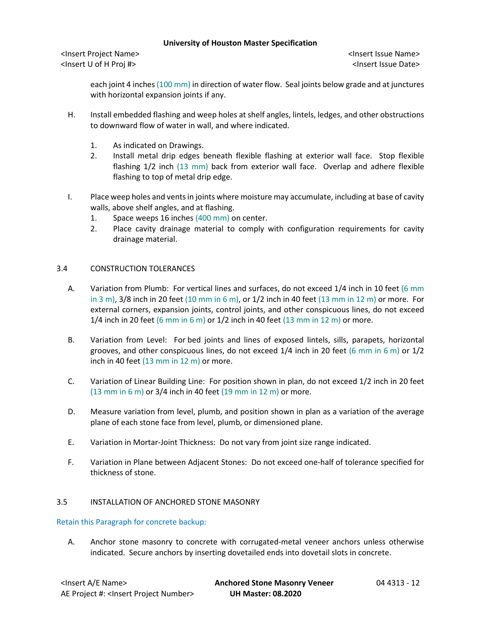<Insert Project Name> <Insert Issue Name> <Insert U of H Proj #> <Insert Issue Date>

each joint 4 inches (100 mm) in direction of water flow. Seal joints below grade and at junctures with horizontal expansion joints if any.

- H. Install embedded flashing and weep holes at shelf angles, lintels, ledges, and other obstructions to downward flow of water in wall, and where indicated.
	- 1. As indicated on Drawings.
	- 2. Install metal drip edges beneath flexible flashing at exterior wall face. Stop flexible flashing 1/2 inch (13 mm) back from exterior wall face. Overlap and adhere flexible flashing to top of metal drip edge.
- I. Place weep holes and vents in joints where moisture may accumulate, including at base of cavity walls, above shelf angles, and at flashing.
	- 1. Space weeps 16 inches (400 mm) on center.
	- 2. Place cavity drainage material to comply with configuration requirements for cavity drainage material.

# 3.4 CONSTRUCTION TOLERANCES

- A. Variation from Plumb: For vertical lines and surfaces, do not exceed 1/4 inch in 10 feet (6 mm in 3 m), 3/8 inch in 20 feet (10 mm in 6 m), or 1/2 inch in 40 feet (13 mm in 12 m) or more. For external corners, expansion joints, control joints, and other conspicuous lines, do not exceed 1/4 inch in 20 feet (6 mm in 6 m) or  $1/2$  inch in 40 feet (13 mm in 12 m) or more.
- B. Variation from Level: For bed joints and lines of exposed lintels, sills, parapets, horizontal grooves, and other conspicuous lines, do not exceed  $1/4$  inch in 20 feet (6 mm in 6 m) or  $1/2$ inch in 40 feet (13 mm in 12 m) or more.
- C. Variation of Linear Building Line: For position shown in plan, do not exceed 1/2 inch in 20 feet  $(13 \text{ mm in } 6 \text{ m})$  or 3/4 inch in 40 feet  $(19 \text{ mm in } 12 \text{ m})$  or more.
- D. Measure variation from level, plumb, and position shown in plan as a variation of the average plane of each stone face from level, plumb, or dimensioned plane.
- E. Variation in Mortar-Joint Thickness: Do not vary from joint size range indicated.
- F. Variation in Plane between Adjacent Stones: Do not exceed one-half of tolerance specified for thickness of stone.

### 3.5 INSTALLATION OF ANCHORED STONE MASONRY

Retain this Paragraph for concrete backup:

A. Anchor stone masonry to concrete with corrugated-metal veneer anchors unless otherwise indicated. Secure anchors by inserting dovetailed ends into dovetail slots in concrete.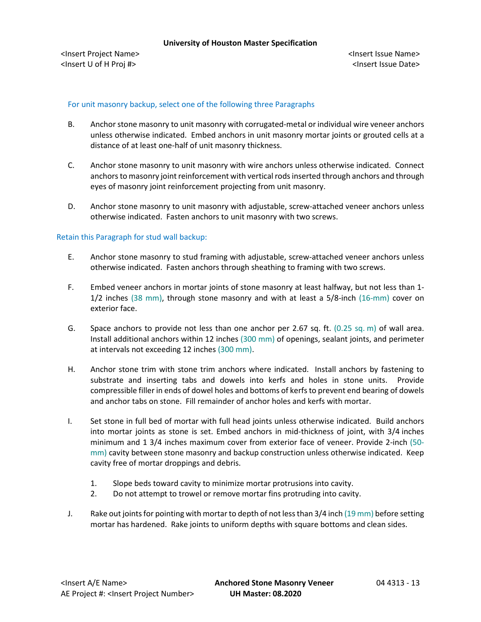# For unit masonry backup, select one of the following three Paragraphs

- B. Anchor stone masonry to unit masonry with corrugated-metal or individual wire veneer anchors unless otherwise indicated. Embed anchors in unit masonry mortar joints or grouted cells at a distance of at least one-half of unit masonry thickness.
- C. Anchor stone masonry to unit masonry with wire anchors unless otherwise indicated. Connect anchors to masonry joint reinforcement with vertical rods inserted through anchors and through eyes of masonry joint reinforcement projecting from unit masonry.
- D. Anchor stone masonry to unit masonry with adjustable, screw-attached veneer anchors unless otherwise indicated. Fasten anchors to unit masonry with two screws.

# Retain this Paragraph for stud wall backup:

- E. Anchor stone masonry to stud framing with adjustable, screw-attached veneer anchors unless otherwise indicated. Fasten anchors through sheathing to framing with two screws.
- F. Embed veneer anchors in mortar joints of stone masonry at least halfway, but not less than 1- 1/2 inches (38 mm), through stone masonry and with at least a 5/8-inch (16-mm) cover on exterior face.
- G. Space anchors to provide not less than one anchor per 2.67 sq. ft. (0.25 sq. m) of wall area. Install additional anchors within 12 inches (300 mm) of openings, sealant joints, and perimeter at intervals not exceeding 12 inches (300 mm).
- H. Anchor stone trim with stone trim anchors where indicated. Install anchors by fastening to substrate and inserting tabs and dowels into kerfs and holes in stone units. Provide compressible filler in ends of dowel holes and bottoms of kerfs to prevent end bearing of dowels and anchor tabs on stone. Fill remainder of anchor holes and kerfs with mortar.
- I. Set stone in full bed of mortar with full head joints unless otherwise indicated. Build anchors into mortar joints as stone is set. Embed anchors in mid-thickness of joint, with 3/4 inches minimum and 1 3/4 inches maximum cover from exterior face of veneer. Provide 2-inch (50 mm) cavity between stone masonry and backup construction unless otherwise indicated. Keep cavity free of mortar droppings and debris.
	- 1. Slope beds toward cavity to minimize mortar protrusions into cavity.
	- 2. Do not attempt to trowel or remove mortar fins protruding into cavity.
- J. Rake out joints for pointing with mortar to depth of not less than 3/4 inch (19 mm) before setting mortar has hardened. Rake joints to uniform depths with square bottoms and clean sides.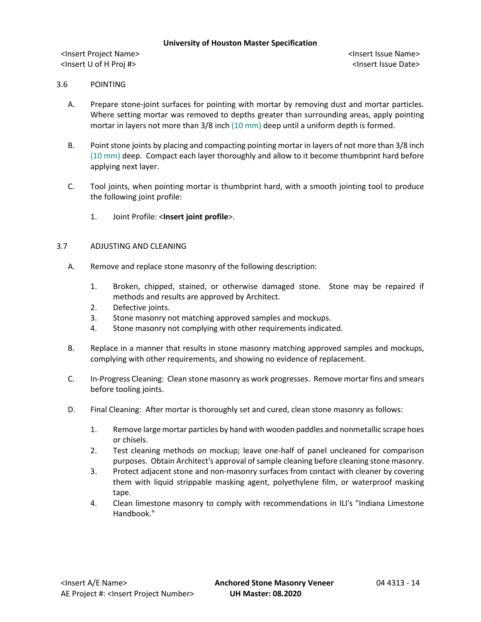<Insert Project Name> <Insert Issue Name> <Insert U of H Proj #> <Insert Issue Date>

# 3.6 POINTING

- A. Prepare stone-joint surfaces for pointing with mortar by removing dust and mortar particles. Where setting mortar was removed to depths greater than surrounding areas, apply pointing mortar in layers not more than 3/8 inch (10 mm) deep until a uniform depth is formed.
- B. Point stone joints by placing and compacting pointing mortar in layers of not more than 3/8 inch (10 mm) deep. Compact each layer thoroughly and allow to it become thumbprint hard before applying next layer.
- C. Tool joints, when pointing mortar is thumbprint hard, with a smooth jointing tool to produce the following joint profile:
	- 1. Joint Profile: <**Insert joint profile**>.

## 3.7 ADJUSTING AND CLEANING

- A. Remove and replace stone masonry of the following description:
	- 1. Broken, chipped, stained, or otherwise damaged stone. Stone may be repaired if methods and results are approved by Architect.
	- 2. Defective joints.
	- 3. Stone masonry not matching approved samples and mockups.
	- 4. Stone masonry not complying with other requirements indicated.
- B. Replace in a manner that results in stone masonry matching approved samples and mockups, complying with other requirements, and showing no evidence of replacement.
- C. In-Progress Cleaning: Clean stone masonry as work progresses. Remove mortar fins and smears before tooling joints.
- D. Final Cleaning: After mortar is thoroughly set and cured, clean stone masonry as follows:
	- 1. Remove large mortar particles by hand with wooden paddles and nonmetallic scrape hoes or chisels.
	- 2. Test cleaning methods on mockup; leave one-half of panel uncleaned for comparison purposes. Obtain Architect's approval of sample cleaning before cleaning stone masonry.
	- 3. Protect adjacent stone and non-masonry surfaces from contact with cleaner by covering them with liquid strippable masking agent, polyethylene film, or waterproof masking tape.
	- 4. Clean limestone masonry to comply with recommendations in ILI's "Indiana Limestone Handbook."